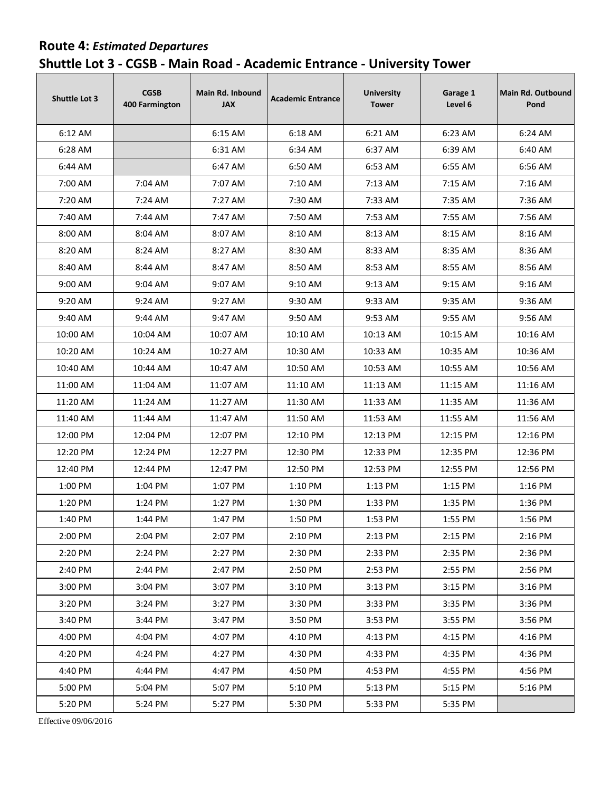## **Route 4:** *Estimated Departures*  **Shuttle Lot 3 - CGSB - Main Road - Academic Entrance - University Tower**

| <b>Shuttle Lot 3</b> | <b>CGSB</b><br><b>400 Farmington</b> | <b>Main Rd. Inbound</b><br><b>JAX</b> | <b>Academic Entrance</b> | <b>University</b><br><b>Tower</b> | Garage 1<br>Level 6 | Main Rd. Outbound<br>Pond |
|----------------------|--------------------------------------|---------------------------------------|--------------------------|-----------------------------------|---------------------|---------------------------|
| 6:12 AM              |                                      | 6:15 AM                               | 6:18 AM                  | 6:21 AM                           | 6:23 AM             | 6:24 AM                   |
| 6:28 AM              |                                      | 6:31 AM                               | 6:34 AM                  | 6:37 AM                           | 6:39 AM             | 6:40 AM                   |
| 6:44 AM              |                                      | 6:47 AM                               | 6:50 AM                  | 6:53 AM                           | 6:55 AM             | 6:56 AM                   |
| 7:00 AM              | 7:04 AM                              | 7:07 AM                               | 7:10 AM                  | 7:13 AM                           | 7:15 AM             | 7:16 AM                   |
| 7:20 AM              | 7:24 AM                              | 7:27 AM                               | 7:30 AM                  | 7:33 AM                           | 7:35 AM             | 7:36 AM                   |
| 7:40 AM              | 7:44 AM                              | 7:47 AM                               | 7:50 AM                  | 7:53 AM                           | 7:55 AM             | 7:56 AM                   |
| 8:00 AM              | 8:04 AM                              | 8:07 AM                               | 8:10 AM                  | 8:13 AM                           | 8:15 AM             | 8:16 AM                   |
| 8:20 AM              | 8:24 AM                              | 8:27 AM                               | 8:30 AM                  | 8:33 AM                           | 8:35 AM             | 8:36 AM                   |
| 8:40 AM              | 8:44 AM                              | 8:47 AM                               | 8:50 AM                  | 8:53 AM                           | 8:55 AM             | 8:56 AM                   |
| 9:00 AM              | 9:04 AM                              | 9:07 AM                               | 9:10 AM                  | 9:13 AM                           | 9:15 AM             | 9:16 AM                   |
| 9:20 AM              | 9:24 AM                              | 9:27 AM                               | 9:30 AM                  | 9:33 AM                           | 9:35 AM             | 9:36 AM                   |
| 9:40 AM              | 9:44 AM                              | 9:47 AM                               | 9:50 AM                  | 9:53 AM                           | 9:55 AM             | 9:56 AM                   |
| 10:00 AM             | 10:04 AM                             | 10:07 AM                              | 10:10 AM                 | 10:13 AM                          | 10:15 AM            | 10:16 AM                  |
| 10:20 AM             | 10:24 AM                             | 10:27 AM                              | 10:30 AM                 | 10:33 AM                          | 10:35 AM            | 10:36 AM                  |
| 10:40 AM             | 10:44 AM                             | 10:47 AM                              | 10:50 AM                 | 10:53 AM                          | 10:55 AM            | 10:56 AM                  |
| 11:00 AM             | 11:04 AM                             | 11:07 AM                              | 11:10 AM                 | 11:13 AM                          | 11:15 AM            | 11:16 AM                  |
| 11:20 AM             | 11:24 AM                             | 11:27 AM                              | 11:30 AM                 | 11:33 AM                          | 11:35 AM            | 11:36 AM                  |
| 11:40 AM             | 11:44 AM                             | 11:47 AM                              | 11:50 AM                 | 11:53 AM                          | 11:55 AM            | 11:56 AM                  |
| 12:00 PM             | 12:04 PM                             | 12:07 PM                              | 12:10 PM                 | 12:13 PM                          | 12:15 PM            | 12:16 PM                  |
| 12:20 PM             | 12:24 PM                             | 12:27 PM                              | 12:30 PM                 | 12:33 PM                          | 12:35 PM            | 12:36 PM                  |
| 12:40 PM             | 12:44 PM                             | 12:47 PM                              | 12:50 PM                 | 12:53 PM                          | 12:55 PM            | 12:56 PM                  |
| 1:00 PM              | 1:04 PM                              | 1:07 PM                               | 1:10 PM                  | 1:13 PM                           | 1:15 PM             | 1:16 PM                   |
| 1:20 PM              | 1:24 PM                              | 1:27 PM                               | 1:30 PM                  | 1:33 PM                           | 1:35 PM             | 1:36 PM                   |
| 1:40 PM              | 1:44 PM                              | 1:47 PM                               | 1:50 PM                  | 1:53 PM                           | 1:55 PM             | 1:56 PM                   |
| 2:00 PM              | 2:04 PM                              | 2:07 PM                               | 2:10 PM                  | 2:13 PM                           | 2:15 PM             | 2:16 PM                   |
| 2:20 PM              | 2:24 PM                              | 2:27 PM                               | 2:30 PM                  | 2:33 PM                           | 2:35 PM             | 2:36 PM                   |
| 2:40 PM              | 2:44 PM                              | 2:47 PM                               | 2:50 PM                  | 2:53 PM                           | 2:55 PM             | 2:56 PM                   |
| 3:00 PM              | 3:04 PM                              | 3:07 PM                               | 3:10 PM                  | 3:13 PM                           | 3:15 PM             | 3:16 PM                   |
| 3:20 PM              | 3:24 PM                              | 3:27 PM                               | 3:30 PM                  | 3:33 PM                           | 3:35 PM             | 3:36 PM                   |
| 3:40 PM              | 3:44 PM                              | 3:47 PM                               | 3:50 PM                  | 3:53 PM                           | 3:55 PM             | 3:56 PM                   |
| 4:00 PM              | 4:04 PM                              | 4:07 PM                               | 4:10 PM                  | 4:13 PM                           | 4:15 PM             | 4:16 PM                   |
| 4:20 PM              | 4:24 PM                              | 4:27 PM                               | 4:30 PM                  | 4:33 PM                           | 4:35 PM             | 4:36 PM                   |
| 4:40 PM              | 4:44 PM                              | 4:47 PM                               | 4:50 PM                  | 4:53 PM                           | 4:55 PM             | 4:56 PM                   |
| 5:00 PM              | 5:04 PM                              | 5:07 PM                               | 5:10 PM                  | 5:13 PM                           | 5:15 PM             | 5:16 PM                   |
| 5:20 PM              | 5:24 PM                              | 5:27 PM                               | 5:30 PM                  | 5:33 PM                           | 5:35 PM             |                           |

Effective 09/06/2016